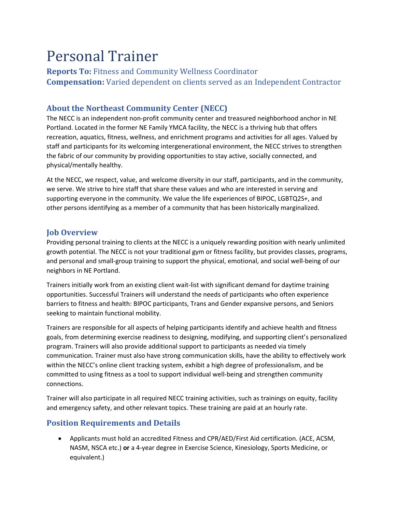# Personal Trainer

Reports To: Fitness and Community Wellness Coordinator Compensation: Varied dependent on clients served as an Independent Contractor

## About the Northeast Community Center (NECC)

The NECC is an independent non-profit community center and treasured neighborhood anchor in NE Portland. Located in the former NE Family YMCA facility, the NECC is a thriving hub that offers recreation, aquatics, fitness, wellness, and enrichment programs and activities for all ages. Valued by staff and participants for its welcoming intergenerational environment, the NECC strives to strengthen the fabric of our community by providing opportunities to stay active, socially connected, and physical/mentally healthy.

At the NECC, we respect, value, and welcome diversity in our staff, participants, and in the community, we serve. We strive to hire staff that share these values and who are interested in serving and supporting everyone in the community. We value the life experiences of BIPOC, LGBTQ2S+, and other persons identifying as a member of a community that has been historically marginalized.

#### Job Overview

Providing personal training to clients at the NECC is a uniquely rewarding position with nearly unlimited growth potential. The NECC is not your traditional gym or fitness facility, but provides classes, programs, and personal and small-group training to support the physical, emotional, and social well-being of our neighbors in NE Portland.

Trainers initially work from an existing client wait-list with significant demand for daytime training opportunities. Successful Trainers will understand the needs of participants who often experience barriers to fitness and health: BIPOC participants, Trans and Gender expansive persons, and Seniors seeking to maintain functional mobility.

Trainers are responsible for all aspects of helping participants identify and achieve health and fitness goals, from determining exercise readiness to designing, modifying, and supporting client's personalized program. Trainers will also provide additional support to participants as needed via timely communication. Trainer must also have strong communication skills, have the ability to effectively work within the NECC's online client tracking system, exhibit a high degree of professionalism, and be committed to using fitness as a tool to support individual well-being and strengthen community connections.

Trainer will also participate in all required NECC training activities, such as trainings on equity, facility and emergency safety, and other relevant topics. These training are paid at an hourly rate.

### Position Requirements and Details

 Applicants must hold an accredited Fitness and CPR/AED/First Aid certification. (ACE, ACSM, NASM, NSCA etc.) or a 4-year degree in Exercise Science, Kinesiology, Sports Medicine, or equivalent.)